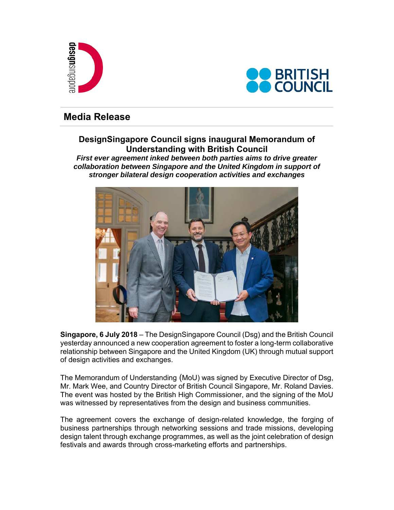



# **Media Release**

## **DesignSingapore Council signs inaugural Memorandum of Understanding with British Council**

*First ever agreement inked between both parties aims to drive greater collaboration between Singapore and the United Kingdom in support of stronger bilateral design cooperation activities and exchanges* 



**Singapore, 6 July 2018** – The DesignSingapore Council (Dsg) and the British Council yesterday announced a new cooperation agreement to foster a long-term collaborative relationship between Singapore and the United Kingdom (UK) through mutual support of design activities and exchanges.

The Memorandum of Understanding (MoU) was signed by Executive Director of Dsg, Mr. Mark Wee, and Country Director of British Council Singapore, Mr. Roland Davies. The event was hosted by the British High Commissioner, and the signing of the MoU was witnessed by representatives from the design and business communities.

The agreement covers the exchange of design-related knowledge, the forging of business partnerships through networking sessions and trade missions, developing design talent through exchange programmes, as well as the joint celebration of design festivals and awards through cross-marketing efforts and partnerships.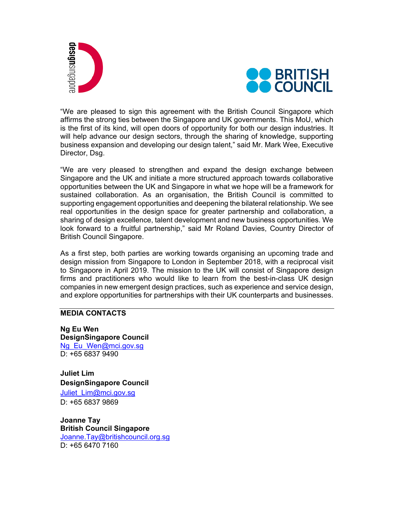**esign**singapore



"We are pleased to sign this agreement with the British Council Singapore which affirms the strong ties between the Singapore and UK governments. This MoU, which is the first of its kind, will open doors of opportunity for both our design industries. It will help advance our design sectors, through the sharing of knowledge, supporting business expansion and developing our design talent," said Mr. Mark Wee, Executive Director, Dsg.

"We are very pleased to strengthen and expand the design exchange between Singapore and the UK and initiate a more structured approach towards collaborative opportunities between the UK and Singapore in what we hope will be a framework for sustained collaboration. As an organisation, the British Council is committed to supporting engagement opportunities and deepening the bilateral relationship. We see real opportunities in the design space for greater partnership and collaboration, a sharing of design excellence, talent development and new business opportunities. We look forward to a fruitful partnership," said Mr Roland Davies, Country Director of British Council Singapore.

As a first step, both parties are working towards organising an upcoming trade and design mission from Singapore to London in September 2018, with a reciprocal visit to Singapore in April 2019. The mission to the UK will consist of Singapore design firms and practitioners who would like to learn from the best-in-class UK design companies in new emergent design practices, such as experience and service design, and explore opportunities for partnerships with their UK counterparts and businesses.

## **MEDIA CONTACTS**

**Ng Eu Wen DesignSingapore Council**  Ng Eu Wen@mci.gov.sg D: +65 6837 9490

**Juliet Lim DesignSingapore Council**  Juliet\_Lim@mci.gov.sg D: +65 6837 9869

**Joanne Tay British Council Singapore**  Joanne.Tay@britishcouncil.org.sg D: +65 6470 7160